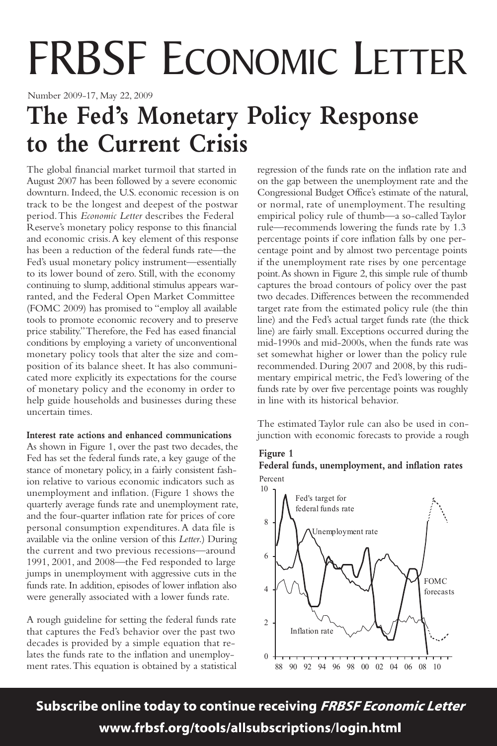# FRBSF ECONOMIC LETTER

Number 2009-17, May 22, 2009

### **The Fed's Monetary Policy Response to the Current Crisis**

The global financial market turmoil that started in August 2007 has been followed by a severe economic downturn. Indeed, the U.S. economic recession is on track to be the longest and deepest of the postwar period.This *Economic Letter* describes the Federal Reserve's monetary policy response to this financial and economic crisis.A key element of this response has been a reduction of the federal funds rate—the Fed's usual monetary policy instrument—essentially to its lower bound of zero. Still, with the economy continuing to slump, additional stimulus appears warranted, and the Federal Open Market Committee (FOMC 2009) has promised to "employ all available tools to promote economic recovery and to preserve price stability."Therefore, the Fed has eased financial conditions by employing a variety of unconventional monetary policy tools that alter the size and composition of its balance sheet. It has also communicated more explicitly its expectations for the course of monetary policy and the economy in order to help guide households and businesses during these uncertain times.

#### **Interest rate actions and enhanced communications**

As shown in Figure 1, over the past two decades, the Fed has set the federal funds rate, a key gauge of the stance of monetary policy, in a fairly consistent fashion relative to various economic indicators such as unemployment and inflation. (Figure 1 shows the quarterly average funds rate and unemployment rate, and the four-quarter inflation rate for prices of core personal consumption expenditures.A data file is available via the online version of this *Letter*.) During the current and two previous recessions—around 1991, 2001, and 2008—the Fed responded to large jumps in unemployment with aggressive cuts in the funds rate. In addition, episodes of lower inflation also were generally associated with a lower funds rate.

A rough guideline for setting the federal funds rate that captures the Fed's behavior over the past two decades is provided by a simple equation that relates the funds rate to the inflation and unemployment rates.This equation is obtained by a statistical

regression of the funds rate on the inflation rate and on the gap between the unemployment rate and the Congressional Budget Office's estimate of the natural, or normal, rate of unemployment.The resulting empirical policy rule of thumb—a so-called Taylor rule—recommends lowering the funds rate by 1.3 percentage points if core inflation falls by one percentage point and by almost two percentage points if the unemployment rate rises by one percentage point.As shown in Figure 2, this simple rule of thumb captures the broad contours of policy over the past two decades. Differences between the recommended target rate from the estimated policy rule (the thin line) and the Fed's actual target funds rate (the thick line) are fairly small. Exceptions occurred during the mid-1990s and mid-2000s, when the funds rate was set somewhat higher or lower than the policy rule recommended. During 2007 and 2008, by this rudimentary empirical metric, the Fed's lowering of the funds rate by over five percentage points was roughly in line with its historical behavior.

The estimated Taylor rule can also be used in conjunction with economic forecasts to provide a rough

#### **F Figure 1**

#### Percent **Federal funds, unemployment, and inflation rates**



Subscribe online today to continue receiving FRBSF Economic Letter www.frbsf.org/tools/allsubscriptions/login.html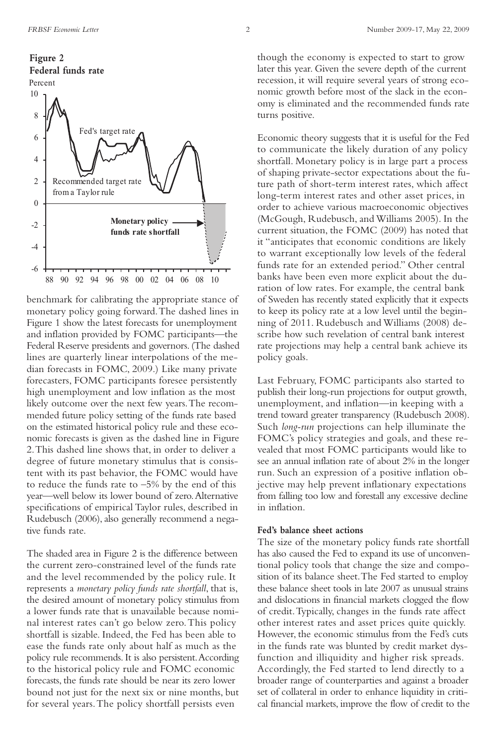

benchmark for calibrating the appropriate stance of monetary policy going forward.The dashed lines in Figure 1 show the latest forecasts for unemployment and inflation provided by FOMC participants—the Federal Reserve presidents and governors. (The dashed lines are quarterly linear interpolations of the median forecasts in FOMC, 2009.) Like many private forecasters, FOMC participants foresee persistently high unemployment and low inflation as the most likely outcome over the next few years.The recommended future policy setting of the funds rate based on the estimated historical policy rule and these economic forecasts is given as the dashed line in Figure 2.This dashed line shows that, in order to deliver a degree of future monetary stimulus that is consistent with its past behavior, the FOMC would have to reduce the funds rate to  $-5\%$  by the end of this year—well below its lower bound of zero.Alternative specifications of empirical Taylor rules, described in Rudebusch (2006), also generally recommend a negative funds rate.

The shaded area in Figure 2 is the difference between the current zero-constrained level of the funds rate and the level recommended by the policy rule. It represents a *monetary policy funds rate shortfall*, that is, the desired amount of monetary policy stimulus from a lower funds rate that is unavailable because nominal interest rates can't go below zero.This policy shortfall is sizable. Indeed, the Fed has been able to ease the funds rate only about half as much as the policy rule recommends.It is also persistent.According to the historical policy rule and FOMC economic forecasts, the funds rate should be near its zero lower bound not just for the next six or nine months, but for several years.The policy shortfall persists even

though the economy is expected to start to grow later this year. Given the severe depth of the current recession, it will require several years of strong economic growth before most of the slack in the economy is eliminated and the recommended funds rate turns positive.

Economic theory suggests that it is useful for the Fed to communicate the likely duration of any policy shortfall. Monetary policy is in large part a process of shaping private-sector expectations about the future path of short-term interest rates, which affect long-term interest rates and other asset prices, in order to achieve various macroeconomic objectives (McGough, Rudebusch, and Williams 2005). In the current situation, the FOMC (2009) has noted that it "anticipates that economic conditions are likely to warrant exceptionally low levels of the federal funds rate for an extended period." Other central banks have been even more explicit about the duration of low rates. For example, the central bank of Sweden has recently stated explicitly that it expects to keep its policy rate at a low level until the beginning of 2011. Rudebusch and Williams (2008) describe how such revelation of central bank interest rate projections may help a central bank achieve its policy goals.

Last February, FOMC participants also started to publish their long-run projections for output growth, unemployment, and inflation—in keeping with a trend toward greater transparency (Rudebusch 2008). Such *long-run* projections can help illuminate the FOMC's policy strategies and goals, and these revealed that most FOMC participants would like to see an annual inflation rate of about 2% in the longer run. Such an expression of a positive inflation objective may help prevent inflationary expectations from falling too low and forestall any excessive decline in inflation.

#### **Fed's balance sheet actions**

The size of the monetary policy funds rate shortfall has also caused the Fed to expand its use of unconventional policy tools that change the size and composition of its balance sheet.The Fed started to employ these balance sheet tools in late 2007 as unusual strains and dislocations in financial markets clogged the flow of credit.Typically, changes in the funds rate affect other interest rates and asset prices quite quickly. However, the economic stimulus from the Fed's cuts in the funds rate was blunted by credit market dysfunction and illiquidity and higher risk spreads. Accordingly, the Fed started to lend directly to a broader range of counterparties and against a broader set of collateral in order to enhance liquidity in critical financial markets, improve the flow of credit to the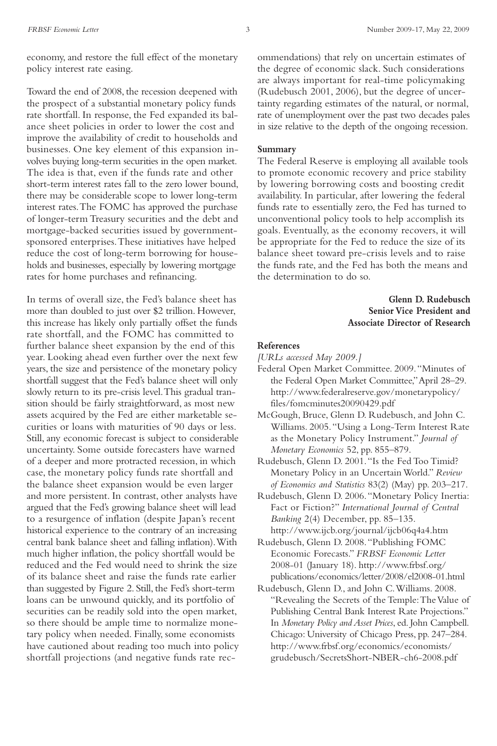economy, and restore the full effect of the monetary policy interest rate easing.

Toward the end of 2008, the recession deepened with the prospect of a substantial monetary policy funds rate shortfall. In response, the Fed expanded its balance sheet policies in order to lower the cost and improve the availability of credit to households and businesses. One key element of this expansion involves buying long-term securities in the open market. The idea is that, even if the funds rate and other short-term interest rates fall to the zero lower bound, there may be considerable scope to lower long-term interest rates.The FOMC has approved the purchase of longer-term Treasury securities and the debt and mortgage-backed securities issued by governmentsponsored enterprises.These initiatives have helped reduce the cost of long-term borrowing for households and businesses, especially by lowering mortgage rates for home purchases and refinancing.

In terms of overall size, the Fed's balance sheet has more than doubled to just over \$2 trillion. However, this increase has likely only partially offset the funds rate shortfall, and the FOMC has committed to further balance sheet expansion by the end of this year. Looking ahead even further over the next few years, the size and persistence of the monetary policy shortfall suggest that the Fed's balance sheet will only slowly return to its pre-crisis level.This gradual transition should be fairly straightforward, as most new assets acquired by the Fed are either marketable securities or loans with maturities of 90 days or less. Still, any economic forecast is subject to considerable uncertainty. Some outside forecasters have warned of a deeper and more protracted recession, in which case, the monetary policy funds rate shortfall and the balance sheet expansion would be even larger and more persistent. In contrast, other analysts have argued that the Fed's growing balance sheet will lead to a resurgence of inflation (despite Japan's recent historical experience to the contrary of an increasing central bank balance sheet and falling inflation).With much higher inflation, the policy shortfall would be reduced and the Fed would need to shrink the size of its balance sheet and raise the funds rate earlier than suggested by Figure 2. Still, the Fed's short-term loans can be unwound quickly, and its portfolio of securities can be readily sold into the open market, so there should be ample time to normalize monetary policy when needed. Finally, some economists have cautioned about reading too much into policy shortfall projections (and negative funds rate recommendations) that rely on uncertain estimates of the degree of economic slack. Such considerations are always important for real-time policymaking (Rudebusch 2001, 2006), but the degree of uncertainty regarding estimates of the natural, or normal, rate of unemployment over the past two decades pales in size relative to the depth of the ongoing recession.

#### **Summary**

The Federal Reserve is employing all available tools to promote economic recovery and price stability by lowering borrowing costs and boosting credit availability. In particular, after lowering the federal funds rate to essentially zero, the Fed has turned to unconventional policy tools to help accomplish its goals. Eventually, as the economy recovers, it will be appropriate for the Fed to reduce the size of its balance sheet toward pre-crisis levels and to raise the funds rate, and the Fed has both the means and the determination to do so.

#### **Glenn D. Rudebusch Senior Vice President and Associate Director of Research**

#### **References**

- *[URLs accessed May 2009.]*
- Federal Open Market Committee. 2009."Minutes of the Federal Open Market Committee,"April 28–29. http://www.federalreserve.gov/monetarypolicy/ files/fomcminutes20090429.pdf
- McGough, Bruce, Glenn D. Rudebusch, and John C. Williams. 2005."Using a Long-Term Interest Rate as the Monetary Policy Instrument." *Journal of Monetary Economics* 52, pp. 855–879.
- Rudebusch, Glenn D. 2001."Is the Fed Too Timid? Monetary Policy in an Uncertain World." *Review of Economics and Statistics* 83(2) (May) pp. 203–217.
- Rudebusch, Glenn D. 2006."Monetary Policy Inertia: Fact or Fiction?" *International Journal of Central Banking* 2(4) December, pp. 85–135. http://www.ijcb.org/journal/ijcb06q4a4.htm
- Rudebusch, Glenn D. 2008."Publishing FOMC Economic Forecasts." *FRBSF Economic Letter* 2008-01 (January 18). http://www.frbsf.org/ publications/economics/letter/2008/el2008-01.html
- Rudebusch, Glenn D., and John C.Williams. 2008. "Revealing the Secrets of the Temple: The Value of Publishing Central Bank Interest Rate Projections." In *Monetary Policy and Asset Prices*, ed. John Campbell. Chicago: University of Chicago Press, pp. 247–284. http://www.frbsf.org/economics/economists/ grudebusch/SecretsShort-NBER-ch6-2008.pdf